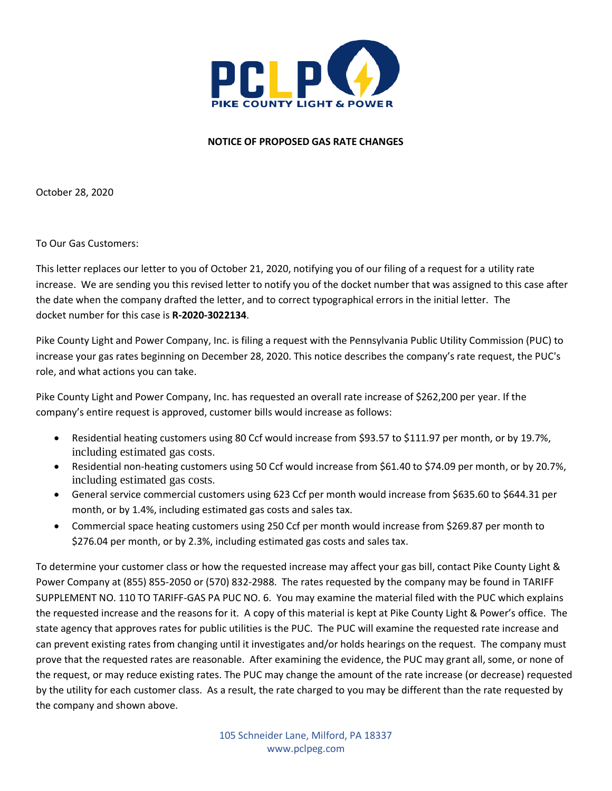

## **NOTICE OF PROPOSED GAS RATE CHANGES**

October 28, 2020

To Our Gas Customers:

This letter replaces our letter to you of October 21, 2020, notifying you of our filing of a request for a utility rate increase. We are sending you this revised letter to notify you of the docket number that was assigned to this case after the date when the company drafted the letter, and to correct typographical errors in the initial letter. The docket number for this case is **R-2020-3022134**.

Pike County Light and Power Company, Inc. is filing a request with the Pennsylvania Public Utility Commission (PUC) to increase your gas rates beginning on December 28, 2020. This notice describes the company's rate request, the PUC's role, and what actions you can take.

Pike County Light and Power Company, Inc. has requested an overall rate increase of \$262,200 per year. If the company's entire request is approved, customer bills would increase as follows:

- Residential heating customers using 80 Ccf would increase from \$93.57 to \$111.97 per month, or by 19.7%, including estimated gas costs.
- Residential non-heating customers using 50 Ccf would increase from \$61.40 to \$74.09 per month, or by 20.7%, including estimated gas costs.
- General service commercial customers using 623 Ccf per month would increase from \$635.60 to \$644.31 per month, or by 1.4%, including estimated gas costs and sales tax.
- Commercial space heating customers using 250 Ccf per month would increase from \$269.87 per month to \$276.04 per month, or by 2.3%, including estimated gas costs and sales tax.

To determine your customer class or how the requested increase may affect your gas bill, contact Pike County Light & Power Company at (855) 855-2050 or (570) 832-2988. The rates requested by the company may be found in TARIFF SUPPLEMENT NO. 110 TO TARIFF-GAS PA PUC NO. 6. You may examine the material filed with the PUC which explains the requested increase and the reasons for it. A copy of this material is kept at Pike County Light & Power's office. The state agency that approves rates for public utilities is the PUC. The PUC will examine the requested rate increase and can prevent existing rates from changing until it investigates and/or holds hearings on the request. The company must prove that the requested rates are reasonable. After examining the evidence, the PUC may grant all, some, or none of the request, or may reduce existing rates. The PUC may change the amount of the rate increase (or decrease) requested by the utility for each customer class. As a result, the rate charged to you may be different than the rate requested by the company and shown above.